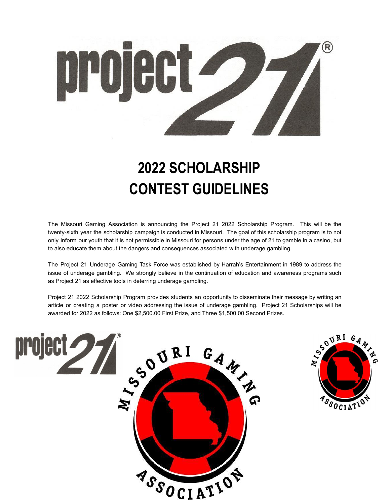

# **2022 SCHOLARSHIP CONTEST GUIDELINES**

The Missouri Gaming Association is announcing the Project 21 2022 Scholarship Program. This will be the twenty-sixth year the scholarship campaign is conducted in Missouri. The goal of this scholarship program is to not only inform our youth that it is not permissible in Missouri for persons under the age of 21 to gamble in a casino, but to also educate them about the dangers and consequences associated with underage gambling.

The Project 21 Underage Gaming Task Force was established by Harrah's Entertainment in 1989 to address the issue of underage gambling. We strongly believe in the continuation of education and awareness programs such as Project 21 as effective tools in deterring underage gambling.

Project 21 2022 Scholarship Program provides students an opportunity to disseminate their message by writing an article or creating a poster or video addressing the issue of underage gambling. Project 21 Scholarships will be awarded for 2022 as follows: One \$2,500.00 First Prize, and Three \$1,500.00 Second Prizes.



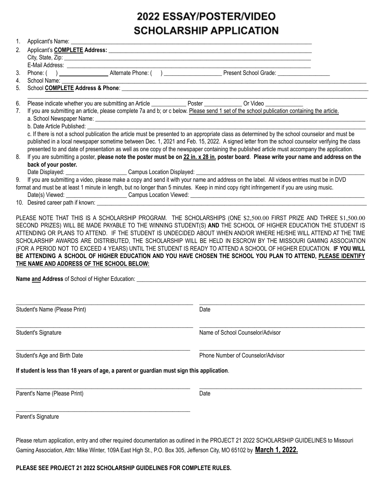## 2022 ESSAY/POSTER/VIDEO **SCHOLARSHIP APPLICATION**

| 1. | Applicant's Name: _____________<br><u> 1989 - Johann Stoff, deutscher Stoff, der Stoff, der Stoff, der Stoff, der Stoff, der Stoff, der Stoff, der S</u>                                                                                                                                                                                                                                                                                                                                                                                                                                                                                 |
|----|------------------------------------------------------------------------------------------------------------------------------------------------------------------------------------------------------------------------------------------------------------------------------------------------------------------------------------------------------------------------------------------------------------------------------------------------------------------------------------------------------------------------------------------------------------------------------------------------------------------------------------------|
|    |                                                                                                                                                                                                                                                                                                                                                                                                                                                                                                                                                                                                                                          |
|    |                                                                                                                                                                                                                                                                                                                                                                                                                                                                                                                                                                                                                                          |
| 3. |                                                                                                                                                                                                                                                                                                                                                                                                                                                                                                                                                                                                                                          |
| 4. | School Name:                                                                                                                                                                                                                                                                                                                                                                                                                                                                                                                                                                                                                             |
| 5. |                                                                                                                                                                                                                                                                                                                                                                                                                                                                                                                                                                                                                                          |
| 6. | Please indicate whether you are submitting an Article ______________ Poster _____________ Or Video __________                                                                                                                                                                                                                                                                                                                                                                                                                                                                                                                            |
| 7. | If you are submitting an article, please complete 7a and b; or c below. Please send 1 set of the school publication containing the article.                                                                                                                                                                                                                                                                                                                                                                                                                                                                                              |
|    |                                                                                                                                                                                                                                                                                                                                                                                                                                                                                                                                                                                                                                          |
|    | b. Date Article Published:                                                                                                                                                                                                                                                                                                                                                                                                                                                                                                                                                                                                               |
|    | c. If there is not a school publication the article must be presented to an appropriate class as determined by the school counselor and must be                                                                                                                                                                                                                                                                                                                                                                                                                                                                                          |
|    | published in a local newspaper sometime between Dec. 1, 2021 and Feb. 15, 2022. A signed letter from the school counselor verifying the class<br>presented to and date of presentation as well as one copy of the newspaper containing the published article must accompany the application.                                                                                                                                                                                                                                                                                                                                             |
| 8. | If you are submitting a poster, please note the poster must be on 22 in. x 28 in. poster board. Please write your name and address on the                                                                                                                                                                                                                                                                                                                                                                                                                                                                                                |
|    | back of your poster.                                                                                                                                                                                                                                                                                                                                                                                                                                                                                                                                                                                                                     |
|    |                                                                                                                                                                                                                                                                                                                                                                                                                                                                                                                                                                                                                                          |
| 9. | If you are submitting a video, please make a copy and send it with your name and address on the label. All videos entries must be in DVD                                                                                                                                                                                                                                                                                                                                                                                                                                                                                                 |
|    | format and must be at least 1 minute in length, but no longer than 5 minutes. Keep in mind copy right infringement if you are using music.                                                                                                                                                                                                                                                                                                                                                                                                                                                                                               |
|    |                                                                                                                                                                                                                                                                                                                                                                                                                                                                                                                                                                                                                                          |
|    |                                                                                                                                                                                                                                                                                                                                                                                                                                                                                                                                                                                                                                          |
|    | SECOND PRIZES) WILL BE MADE PAYABLE TO THE WINNING STUDENT(S) AND THE SCHOOL OF HIGHER EDUCATION THE STUDENT IS<br>ATTENDING OR PLANS TO ATTEND. IF THE STUDENT IS UNDECIDED ABOUT WHEN AND/OR WHERE HE/SHE WILL ATTEND AT THE TIME<br>SCHOLARSHIP AWARDS ARE DISTRIBUTED, THE SCHOLARSHIP WILL BE HELD IN ESCROW BY THE MISSOURI GAMING ASSOCIATION<br>(FOR A PERIOD NOT TO EXCEED 4 YEARS) UNTIL THE STUDENT IS READY TO ATTEND A SCHOOL OF HIGHER EDUCATION. IF YOU WILL<br>BE ATTENDING A SCHOOL OF HIGHER EDUCATION AND YOU HAVE CHOSEN THE SCHOOL YOU PLAN TO ATTEND, PLEASE IDENTIFY<br>THE NAME AND ADDRESS OF THE SCHOOL BELOW: |
|    | Student's Name (Please Print)<br>Date                                                                                                                                                                                                                                                                                                                                                                                                                                                                                                                                                                                                    |
|    | Name of School Counselor/Advisor<br>Student's Signature                                                                                                                                                                                                                                                                                                                                                                                                                                                                                                                                                                                  |
|    | Phone Number of Counselor/Advisor<br>Student's Age and Birth Date                                                                                                                                                                                                                                                                                                                                                                                                                                                                                                                                                                        |
|    | If student is less than 18 years of age, a parent or guardian must sign this application.                                                                                                                                                                                                                                                                                                                                                                                                                                                                                                                                                |
|    |                                                                                                                                                                                                                                                                                                                                                                                                                                                                                                                                                                                                                                          |
|    | Parent's Name (Please Print)<br>Date                                                                                                                                                                                                                                                                                                                                                                                                                                                                                                                                                                                                     |
|    | Parent's Signature                                                                                                                                                                                                                                                                                                                                                                                                                                                                                                                                                                                                                       |
|    |                                                                                                                                                                                                                                                                                                                                                                                                                                                                                                                                                                                                                                          |

Please return application, entry and other required documentation as outlined in the PROJECT 21 2022 SCHOLARSHIP GUIDELINES to Missouri Gaming Association, Attn: Mike Winter, 109A East High St., P.O. Box 305, Jefferson City, MO 65102 by **March 1, 2022.**

**PLEASE SEE PROJECT 21 2022 SCHOLARSHIP GUIDELINES FOR COMPLETE RULES.**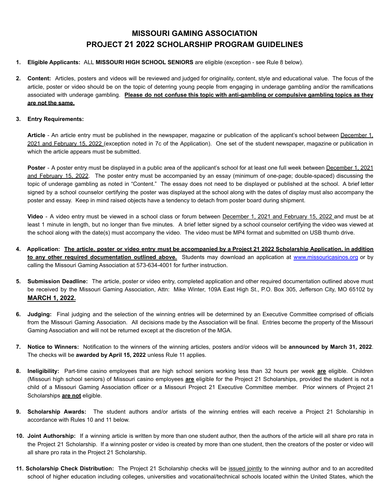#### **MISSOURI GAMING ASSOCIATION PROJECT 21 2022 SCHOLARSHIP PROGRAM GUIDELINES**

- **1. Eligible Applicants:** ALL **MISSOURI HIGH SCHOOL SENIORS** are eligible (exception see Rule 8 below).
- **2. Content:** Articles, posters and videos will be reviewed and judged for originality, content, style and educational value. The focus of the article, poster or video should be on the topic of deterring young people from engaging in underage gambling and/or the ramifications associated with underage gambling. **Please do not confuse this topic with anti-gambling or compulsive gambling topics as they are not the same.**

#### **3. Entry Requirements:**

Article - An article entry must be published in the newspaper, magazine or publication of the applicant's school between December 1, 2021 and February 15, 2022 (exception noted in 7c of the Application). One set of the student newspaper, magazine or publication in which the article appears must be submitted.

**Poster** - A poster entry must be displayed in a public area of the applicant's school for at least one full week between December 1, 2021 and February 15, 2022. The poster entry must be accompanied by an essay (minimum of one-page; double-spaced) discussing the topic of underage gambling as noted in "Content." The essay does not need to be displayed or published at the school. A brief letter signed by a school counselor certifying the poster was displayed at the school along with the dates of display must also accompany the poster and essay. Keep in mind raised objects have a tendency to detach from poster board during shipment.

**Video** - A video entry must be viewed in a school class or forum between December 1, 2021 and February 15, 2022 and must be at least 1 minute in length, but no longer than five minutes. A brief letter signed by a school counselor certifying the video was viewed at the school along with the date(s) must accompany the video. The video must be MP4 format and submitted on USB thumb drive.

- 4. Application: The article, poster or video entry must be accompanied by a Project 21 2022 Scholarship Application, in addition **to any other required documentation outlined above.** Students may download an application at [www.missouricasinos.org](http://www.missouricasinos.org) or by calling the Missouri Gaming Association at 573-634-4001 for further instruction.
- **5. Submission Deadline:** The article, poster or video entry, completed application and other required documentation outlined above must be received by the Missouri Gaming Association, Attn: Mike Winter, 109A East High St., P.O. Box 305, Jefferson City, MO 65102 by **MARCH 1, 2022.**
- **6. Judging:** Final judging and the selection of the winning entries will be determined by an Executive Committee comprised of officials from the Missouri Gaming Association. All decisions made by the Association will be final. Entries become the property of the Missouri Gaming Association and will not be returned except at the discretion of the MGA.
- **7. Notice to Winners:** Notification to the winners of the winning articles, posters and/or videos will be **announced by March 31, 2022**. The checks will be **awarded by April 15, 2022** unless Rule 11 applies.
- **8. Ineligibility:** Part-time casino employees that are high school seniors working less than 32 hours per week **are** eligible. Children (Missouri high school seniors) of Missouri casino employees **are** eligible for the Project 21 Scholarships, provided the student is not a child of a Missouri Gaming Association officer or a Missouri Project 21 Executive Committee member. Prior winners of Project 21 Scholarships **are not** eligible.
- **9. Scholarship Awards:** The student authors and/or artists of the winning entries will each receive a Project 21 Scholarship in accordance with Rules 10 and 11 below.
- **10. Joint Authorship:** If a winning article is written by more than one student author, then the authors of the article will all share pro rata in the Project 21 Scholarship. If a winning poster or video is created by more than one student, then the creators of the poster or video will all share pro rata in the Project 21 Scholarship.
- **11. Scholarship Check Distribution:** The Project 21 Scholarship checks will be issued jointly to the winning author and to an accredited school of higher education including colleges, universities and vocational/technical schools located within the United States, which the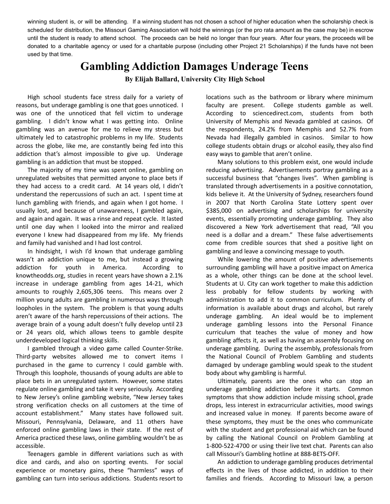winning student is, or will be attending. If a winning student has not chosen a school of higher education when the scholarship check is scheduled for distribution, the Missouri Gaming Association will hold the winnings (or the pro rata amount as the case may be) in escrow until the student is ready to attend school. The proceeds can be held no longer than four years. After four years, the proceeds will be donated to a charitable agency or used for a charitable purpose (including other Project 21 Scholarships) if the funds have not been used by that time.

### **Gambling Addiction Damages Underage Teens**

**By Elijah Ballard, University City High School**

High school students face stress daily for a variety of reasons, but underage gambling is one that goes unnoticed. I was one of the unnoticed that fell victim to underage gambling. I didn't know what I was getting into. Online gambling was an avenue for me to relieve my stress but ultimately led to catastrophic problems in my life. Students across the globe, like me, are constantly being fed into this addiction that's almost impossible to give up. Underage gambling is an addiction that must be stopped.

The majority of my time was spent online, gambling on unregulated websites that permitted anyone to place bets if they had access to a credit card. At 14 years old, I didn't understand the repercussions of such an act. I spent time at lunch gambling with friends, and again when I got home. I usually lost, and because of unawareness, I gambled again, and again and again. It was a rinse and repeat cycle. It lasted until one day when I looked into the mirror and realized everyone I knew had disappeared from my life. My friends and family had vanished and I had lost control.

In hindsight, I wish I'd known that underage gambling wasn't an addiction unique to me, but instead a growing addiction for youth in America. According to knowtheodds.org, studies in recent years have shown a 2.1% increase in underage gambling from ages 14-21, which amounts to roughly 2,605,306 teens. This means over 2 million young adults are gambling in numerous ways through loopholes in the system. The problem is that young adults aren't aware of the harsh repercussions of their actions. The average brain of a young adult doesn't fully develop until 23 or 24 years old, which allows teens to gamble despite underdeveloped logical thinking skills.

I gambled through a video game called Counter-Strike. Third-party websites allowed me to convert items I purchased in the game to currency I could gamble with. Through this loophole, thousands of young adults are able to place bets in an unregulated system. However, some states regulate online gambling and take it very seriously. According to New Jersey's online gambling website, "New Jersey takes strong verification checks on all customers at the time of account establishment." Many states have followed suit. Missouri, Pennsylvania, Delaware, and 11 others have enforced online gambling laws in their state. If the rest of America practiced these laws, online gambling wouldn't be as accessible.

Teenagers gamble in different variations such as with dice and cards, and also on sporting events. For social experience or monetary gains, these "harmless" ways of gambling can turn into serious addictions. Students resort to

locations such as the bathroom or library where minimum faculty are present. College students gamble as well. According to sciencedirect.com, students from both University of Memphis and Nevada gambled at casinos. Of the respondents, 24.2% from Memphis and 52.7% from Nevada had illegally gambled in casinos. Similar to how college students obtain drugs or alcohol easily, they also find easy ways to gamble that aren't online.

Many solutions to this problem exist, one would include reducing advertising. Advertisements portray gambling as a successful business that "changes lives". When gambling is translated through advertisements in a positive connotation, kids believe it. At the University of Sydney, researchers found in 2007 that North Carolina State Lottery spent over \$385,000 on advertising and scholarships for university events, essentially promoting underage gambling. They also discovered a New York advertisement that read, "All you need is a dollar and a dream." These false advertisements come from credible sources that shed a positive light on gambling and leave a convincing message to youth.

While lowering the amount of positive advertisements surrounding gambling will have a positive impact on America as a whole, other things can be done at the school level. Students at U. City can work together to make this addiction less probably for fellow students by working with administration to add it to common curriculum. Plenty of information is available about drugs and alcohol, but rarely underage gambling. An ideal would be to implement underage gambling lessons into the Personal Finance curriculum that teaches the value of money and how gambling affects it, as well as having an assembly focusing on underage gambling. During the assembly, professionals from the National Council of Problem Gambling and students damaged by underage gambling would speak to the student body about why gambling is harmful.

Ultimately, parents are the ones who can stop an underage gambling addiction before it starts. Common symptoms that show addiction include missing school, grade drops, less interest in extracurricular activities, mood swings and increased value in money. If parents become aware of these symptoms, they must be the ones who communicate with the student and get professional aid which can be found by calling the National Council on Problem Gambling at 1-800-522-4700 or using their live text chat. Parents can also call Missouri's Gambling hotline at 888-BETS-OFF.

An addiction to underage gambling produces detrimental effects in the lives of those addicted, in addition to their families and friends. According to Missouri law, a person